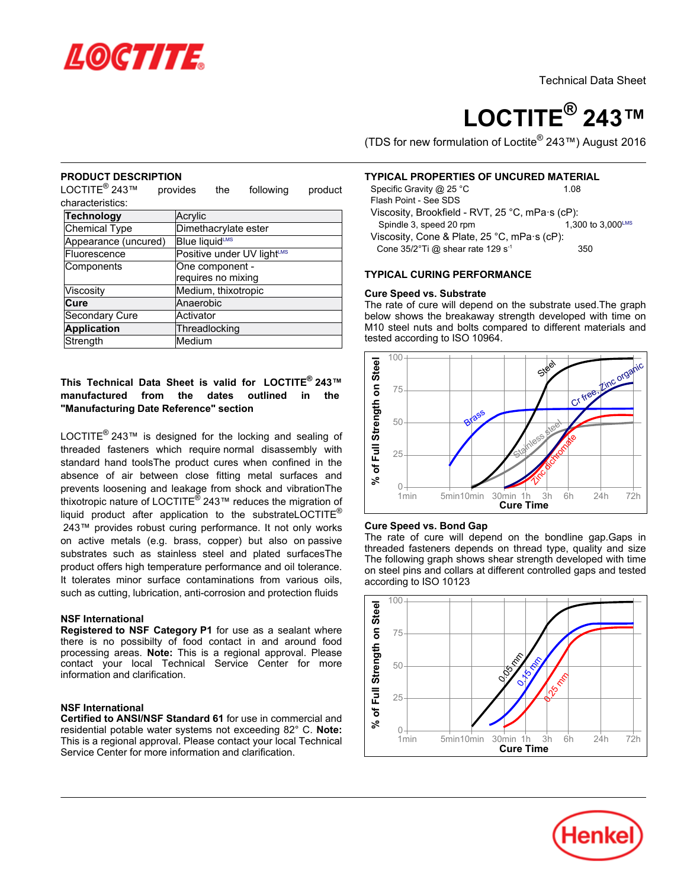

# **LOCTITE® 243™**

(TDS for new formulation of Loctite® 243™) August 2016

## **PRODUCT DESCRIPTION**

L NODOOL DEOC<br>LOCTITE® 243™ provides the following product characteristics:

| Technology           | Acrylic                                |
|----------------------|----------------------------------------|
| Chemical Type        | Dimethacrylate ester                   |
| Appearance (uncured) | Blue liquidLMS                         |
| Fluorescence         | Positive under UV light <sup>LMS</sup> |
| Components           | One component -                        |
|                      | requires no mixing                     |
| Viscosity            | Medium, thixotropic                    |
| Cure                 | Anaerobic                              |
| Secondary Cure       | Activator                              |
| <b>Application</b>   | Threadlocking                          |
| Strength             | Medium                                 |

## **This Technical Data Sheet is valid for LOCTITE® 243™manufactured from the dates outlined in the "Manufacturing Date Reference" section**

LOCTITE<sup>®</sup> 243™ is designed for the locking and sealing of threaded fasteners which require normal disassembly with standard hand toolsThe product cures when confined in the absence of air between close fitting metal surfaces and prevents loosening and leakage from shock and vibrationThe  $\mu$  become notice in the management of the mid-distribution of thixotropic nature of LOCTITE<sup>®</sup> 243<sup>™</sup> reduces the migration of liquid product after application to the substrateLOCTITE<sup>®</sup> 243™ provides robust curing performance. It not only works on active metals (e.g. brass, copper) but also on passive substrates such as stainless steel and plated surfacesThe product offers high temperature performance and oil tolerance. It tolerates minor surface contaminations from various oils, such as cutting, lubrication, anti-corrosion and protection fluids

# **NSF International**

**Registered to NSF Category P1** for use as a sealant where there is no possibilty of food contact in and around food processing areas. **Note:** This is a regional approval. Please processing areas. **Note:** This is a regional approval. I lease<br>contact vour local Technical Service Center for more information and clarification.

# **NSF International**

**Certified to ANSI/NSF Standard 61** for use in commercial and residential potable water systems not exceeding 82° C. **Note:** This is a regional approval. Please contact your local Technical This is a regional approval. Tiease contact your local<br>Service Center for more information and clarification.

# **TYPICAL PROPERTIES OF UNCURED MATERIAL**

| Specific Gravity @ 25 °C                                     | 1.08              |
|--------------------------------------------------------------|-------------------|
| Flash Point - See SDS                                        |                   |
| Viscosity, Brookfield - RVT, 25 °C, mPa·s (cP):              |                   |
| Spindle 3, speed 20 rpm                                      | 1.300 to 3.000LMS |
| Viscosity, Cone & Plate, $25^{\circ}$ C, mPa $\cdot$ s (cP): |                   |
| Cone $35/2$ °Ti @ shear rate 129 s <sup>-1</sup>             | 350               |
|                                                              |                   |

## **TYPICAL CURING PERFORMANCE**

## **Cure Speed vs. Substrate**

**The rate of cure will depend on the substrate used.The graph**<br>The rate of cure will depend on the substrate used.The graph below shows the breakaway strength developed with time on M10 steel nuts and bolts compared to different materials and who steer hats and boits comprehensively



## **Cure Speed vs. Bond Gap**

The rate of cure will depend on the bondline gap.Gaps in The rate of earc will depend on the bondline gap. Oaps in The following graph shows shear strength developed with time on steel pins and collars at different controlled gaps and tested on steer pins and collar.<br>according to ISO 10123



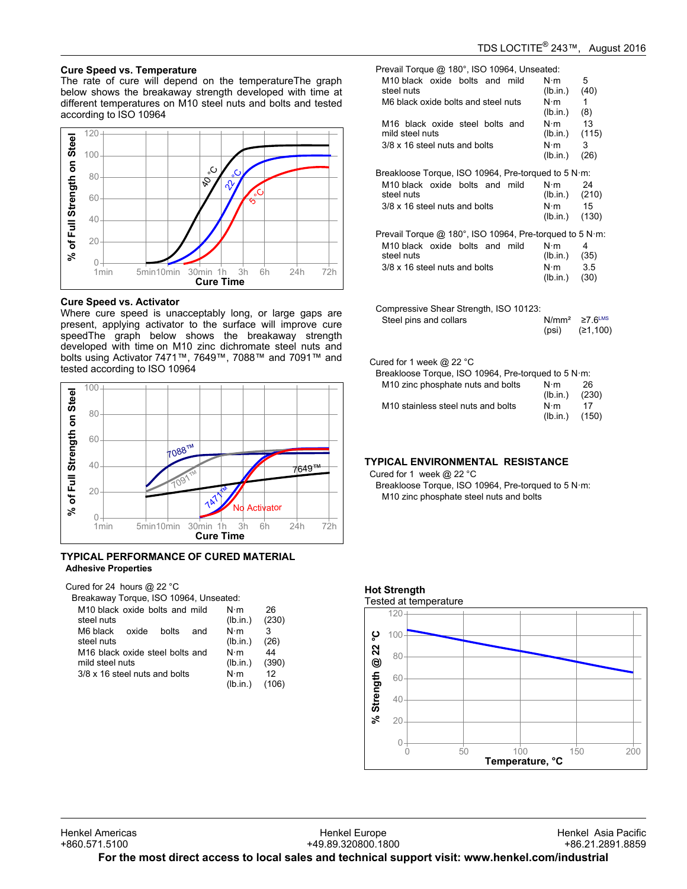# **Cure Speed vs. Temperature**

oure opeed vs. remperature<br>The rate of cure will depend on the temperatureThe graph below shows the breakaway strength developed with time at different temperatures on M10 steel nuts and bolts and tested amerent temperatures t<br>according to ISO 10964



## **Cure Speed vs. Activator**

Where cure speed is unacceptably long, or large gaps are present, applying activator to the surface will improve cure present, applying activator to the sanace will improve care<br>speedThe graph below shows the breakaway strength developed with time on M10 zinc dichromate steel nuts and bolts using Activator 7471™, 7649™, 7088™ and 7091™ and bolts doing? tellvator? +// 1, 1, 1<br>tested according to ISO 10964



### **TYPICAL PERFORMANCE OF CURED MATERIAL Adhesive Properties**

Cured for 24 hours @ 22 °C

Breakaway Torque, ISO 10964, Unseated: M10 black oxide bolts and mild ntenen<br>N·m 26

| M10 black oxide bolts and mild              |  |             |     | N∙m      | 26    |
|---------------------------------------------|--|-------------|-----|----------|-------|
| steel nuts                                  |  |             |     | (lb.in.) | (230) |
| M6 black oxide                              |  | bolts       | and | N⋅m      | 3     |
| steel nuts                                  |  |             |     | (lb.in.) | (26)  |
| M <sub>16</sub> black oxide steel bolts and |  |             | N⋅m | 44       |       |
| mild steel nuts                             |  |             |     | (lb.in.) | (390) |
| 3/8 x 16 steel nuts and bolts               |  | $N \cdot m$ | 12  |          |       |
|                                             |  |             |     | (lb.in.) | (106) |

| Prevail Torque @ 180°, ISO 10964, Unseated:                                   |                                                              |                                       |  |  |
|-------------------------------------------------------------------------------|--------------------------------------------------------------|---------------------------------------|--|--|
| M10 black oxide bolts and mild<br>steel nuts                                  | $N \cdot m$<br>(lb.in.)                                      | 5<br>(40)                             |  |  |
| M6 black oxide bolts and steel nuts                                           | $N \cdot m$<br>(lb.in.)                                      | 1<br>(8)                              |  |  |
| M16 black oxide steel bolts and<br>mild steel nuts                            | $N \cdot m$<br>(lb.in.)                                      | 13<br>(115)                           |  |  |
| 3/8 x 16 steel nuts and bolts                                                 | $N \cdot m$<br>(lb.in.)                                      | 3<br>(26)                             |  |  |
| Breakloose Torque, ISO 10964, Pre-torqued to 5 N·m:                           |                                                              |                                       |  |  |
| M10 black oxide bolts and mild<br>steel nuts<br>3/8 x 16 steel nuts and bolts | $N \cdot m$<br>$(lb.in.)$ $(210)$<br>$N \cdot m$<br>(lb.in.) | 24<br>15<br>(130)                     |  |  |
| Prevail Torque @ 180°, ISO 10964, Pre-torqued to 5 N·m:                       |                                                              |                                       |  |  |
| M10 black oxide bolts and mild<br>steel nuts<br>3/8 x 16 steel nuts and bolts | $N \cdot m$<br>$(lb.in.)$ (35)<br>N⋅m<br>(lb.in.)            | 4<br>3.5<br>(30)                      |  |  |
| Compressive Shear Strength, ISO 10123:                                        |                                                              |                                       |  |  |
| Steel pins and collars                                                        | N/mm <sup>2</sup><br>(psi)                                   | $\geq$ 7.6 <sup>LMS</sup><br>(≥1,100) |  |  |

Cured for 1 week @ 22 °C

Breakloose Torque, ISO 10964, Pre-torqued to 5 N·m:

|                                                | $N \cdot m$     | 26          |
|------------------------------------------------|-----------------|-------------|
| M <sub>10</sub> zinc phosphate nuts and bolts  | (lb.in.)        | (230)       |
| M <sub>10</sub> stainless steel nuts and bolts | N⋅m<br>(lb.in.) | 17<br>(150) |

# **TYPICAL ENVIRONMENTAL RESISTANCE**

Cured for 1 week @ 22 °C

Breakloose Torque, ISO 10964, Pre-torqued to 5 N·m: M10 zinc phosphate steel nuts and bolts

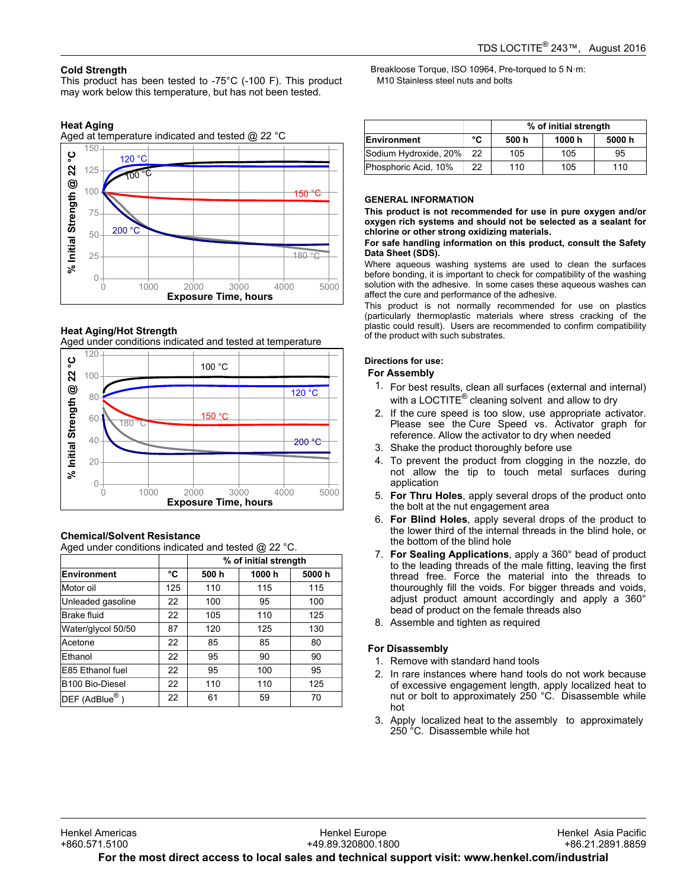# **Cold Strength**

This product has been tested to -75°C (-100 F). This product may product has been tested to  $75\%$  (100 F). This provided.

# **Heat Aging**

Aged at temperature indicated and tested @ 22 °C



# **Heat Aging/Hot Strength**

Aged under conditions indicated and tested at temperature



# **Chemical/Solvent Resistance**

Aged under conditions indicated and tested @ 22 °C.

|                    |     |       | % of initial strength |       |
|--------------------|-----|-------|-----------------------|-------|
| <b>Environment</b> | °C  | 500 h | 1000h                 | 5000h |
| Motor oil          | 125 | 110   | 115                   | 115   |
| Unleaded gasoline  | 22  | 100   | 95                    | 100   |
| <b>Brake fluid</b> | 22  | 105   | 110                   | 125   |
| Water/glycol 50/50 | 87  | 120   | 125                   | 130   |
| Acetone            | 22  | 85    | 85                    | 80    |
| Ethanol            | 22  | 95    | 90                    | 90    |
| E85 Ethanol fuel   | 22  | 95    | 100                   | 95    |
| B100 Bio-Diesel    | 22  | 110   | 110                   | 125   |
| $DEF$ (AdBlue®)    | 22  | 61    | 59                    | 70    |

Breakloose Torque, ISO 10964, Pre-torqued to 5 N·m: M10 Stainless steel nuts and bolts

|                       |    | % of initial strength |        |        |
|-----------------------|----|-----------------------|--------|--------|
| Environment           | °C | 500 h                 | 1000 h | 5000 h |
| Sodium Hydroxide, 20% | 22 | 105                   | 105    | 95     |
| Phosphoric Acid, 10%  | 22 | 110                   | 105    | 110    |

## **GENERAL INFORMATION**

**This product is not recommended for use in pure oxygen and/or oxygen rich systems and should not be selected as a sealant for chlorine or other strong oxidizing materials.**

#### **For safe handling information on this product, consult the Safety Data Sheet (SDS).**

Where aqueous washing systems are used to clean the surfaces before bonding, it is important to check for compatibility of the washing solution with the adhesive. In some cases these aqueous washes can affect the cure and performance of the adhesive.

This product is not normally recommended for use on plastics (particularly thermoplastic materials where stress cracking of the plastic could result). Users are recommended to confirm compatibility plastic codid result). Obcits are rec-<br>of the product with such substrates.

## **Directions for use:**

# **For Assembly**

- 1. For best results, clean all surfaces (external and internal) or best results, clearly all surfaces (externational in<br>with a LOCTITE® cleaning solvent and allow to dry
- 2. If the cure speed is too slow, use appropriate activator. If the cure speed is too slow, use appropriate activator.<br>Please see the Cure Speed vs. Activator graph for reference. Allow the activator to dry when needed
- 3. Shake the product thoroughly before use
- 4. To prevent the product from clogging in the nozzle, do not allow the tip to touch metal surfaces during not allow<br>application
- 5. **For Thru Holes**, apply several drops of the product onto **the bolt at the nut engagement area**<br>the bolt at the nut engagement area
- 6. **For Blind Holes**, apply several drops of the product to the lower third of the internal threads in the blind hole, or the lower time of the filtern
- 7. **For Sealing Applications**, apply a 360° bead of product to the leading Applications, apply a 300 secar of product<br>to the leading threads of the male fitting, leaving the first to the leading threads of the mate inting, leaving the first<br>thread free. Force the material into the threads to thouroughly fill the voids. For bigger threads and voids, alouroughly in the voids. For bigger threads and voids,<br>adjust product amount accordingly and apply a 360° bead of product on the female threads also
- 8. Assemble and tighten as required

# **For Disassembly**

- <sub>2</sub>. *Disassemary*<br>1. Remove with standard hand tools
- 2. In rare instances where hand tools do not work because of excessive engagement length, apply localized heat to nut or bolt to approximately 250 °C. Disassemble while hot
- 3. Apply localized heat to the assembly to approximately 250 °C. Disassemble while hot